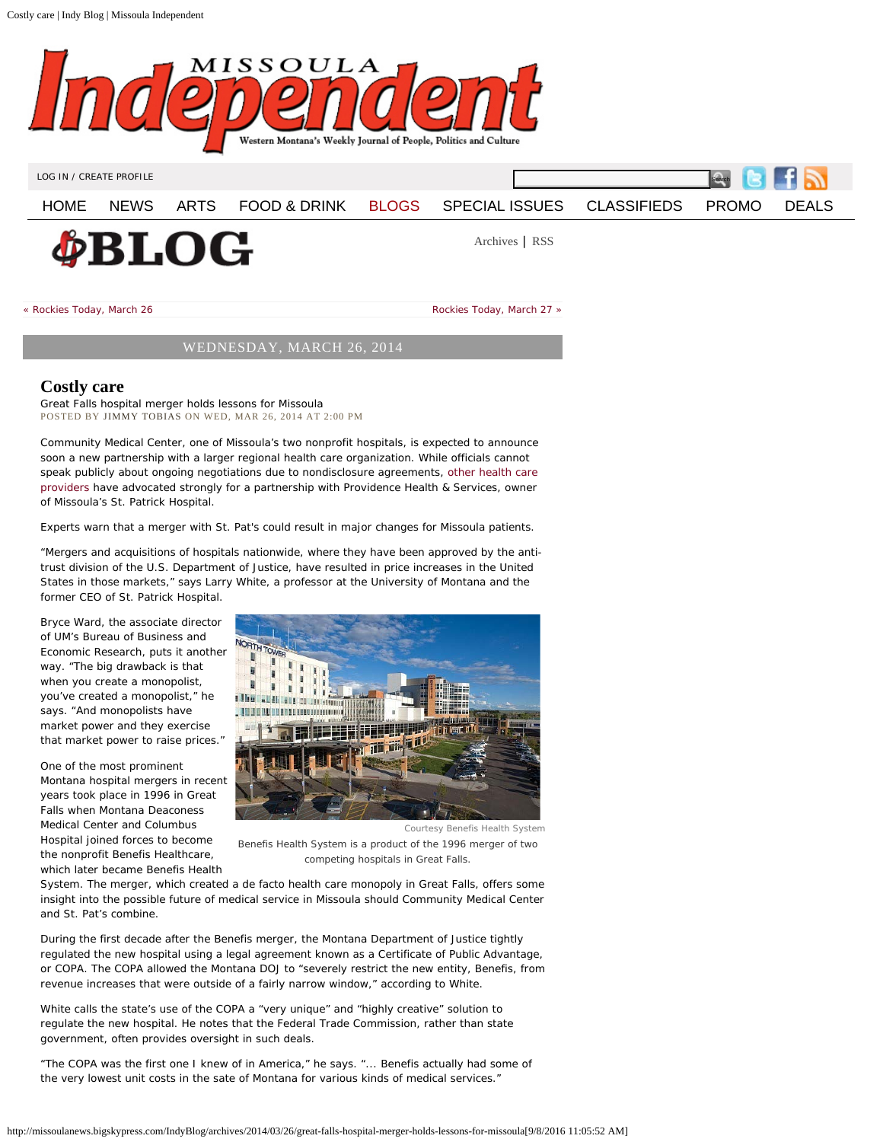<span id="page-0-0"></span>Costly care | Indy Blog | Missoula Independent



[LOG IN](#page-0-0) / [CREATE PROFILE](#page-0-0)

[HOME](http://missoulanews.bigskypress.com/) [NEWS](http://missoulanews.bigskypress.com/missoula/news/Section?oid=1131537) [ARTS](http://missoulanews.bigskypress.com/missoula/arts/Section?oid=1131536) [FOOD & DRINK](http://missoulanews.bigskypress.com/missoula/food/Section?oid=1131538) [BLOGS](http://missoulanews.bigskypress.com/missoula/blogs/Section?oid=1140342) [SPECIAL ISSUES](https://issuu.com/missoulanews/docs/missoulaindependenti36090816/mode=embed) [CLASSIFIEDS](http://classifieds.missoulanews.com/?nav=Classifieds) [PROMO](http://missoulanews.bigskypress.com/missoula/Landing/Page?LID=Promo) [DEALS](https://missoula.kostizi.com/Home)

Search

**¢BLOG** 

[Archives](http://missoulanews.bigskypress.com/missoula/IndyBlog/blogs/Archives) | [RSS](http://missoulanews.bigskypress.com/missoula/Rss.xml?category=1140343)

« [Rockies Today, March 26](http://missoulanews.bigskypress.com/IndyBlog/archives/2014/03/26/rockies-today-march-26) |

[Rockies Today, March 27](http://missoulanews.bigskypress.com/IndyBlog/archives/2014/03/27/rockies-today-march-27) »

## WEDNESDAY, MARCH 26, 2014

## **Costly care**

Great Falls hospital merger holds lessons for Missoula POSTED BY [JIMMY TOBIAS](http://missoulanews.bigskypress.com/missoula/ArticleArchives?author=1727619) ON WED, MAR 26, 2014 AT 2:00 PM

Community Medical Center, one of Missoula's two nonprofit hospitals, is expected to announce soon a new partnership with a larger regional health care organization. While officials cannot speak publicly about ongoing negotiations due to nondisclosure agreements, [other health care](http://missoulanews.bigskypress.com/IndyBlog/archives/2014/03/10/could-community-medical-centers-partner-choice-make-missoula-a-one-hospital-city) [providers](http://missoulanews.bigskypress.com/IndyBlog/archives/2014/03/10/could-community-medical-centers-partner-choice-make-missoula-a-one-hospital-city) have advocated strongly for a partnership with Providence Health & Services, owner of Missoula's St. Patrick Hospital.

Experts warn that a merger with St. Pat's could result in major changes for Missoula patients.

"Mergers and acquisitions of hospitals nationwide, where they have been approved by the antitrust division of the U.S. Department of Justice, have resulted in price increases in the United States in those markets," says Larry White, a professor at the University of Montana and the former CEO of St. Patrick Hospital.

Bryce Ward, the associate director of UM's Bureau of Business and Economic Research, puts it another way. "The big drawback is that when you create a monopolist, you've created a monopolist," he says. "And monopolists have market power and they exercise that market power to raise prices."

One of the most prominent Montana hospital mergers in recent years took place in 1996 in Great Falls when Montana Deaconess Medical Center and Columbus Hospital joined forces to become the nonprofit Benefis Healthcare, which later became Benefis Health



Courtesy Benefis Health System *Benefis Health System is a product of the 1996 merger of two competing hospitals in Great Falls.*

System. The merger, which created a de facto health care monopoly in Great Falls, offers some insight into the possible future of medical service in Missoula should Community Medical Center and St. Pat's combine.

During the first decade after the Benefis merger, the Montana Department of Justice tightly regulated the new hospital using a legal agreement known as a Certificate of Public Advantage, or COPA. The COPA allowed the Montana DOJ to "severely restrict the new entity, Benefis, from revenue increases that were outside of a fairly narrow window," according to White.

White calls the state's use of the COPA a "very unique" and "highly creative" solution to regulate the new hospital. He notes that the Federal Trade Commission, rather than state government, often provides oversight in such deals.

"The COPA was the first one I knew of in America," he says. "... Benefis actually had some of the very lowest unit costs in the sate of Montana for various kinds of medical services."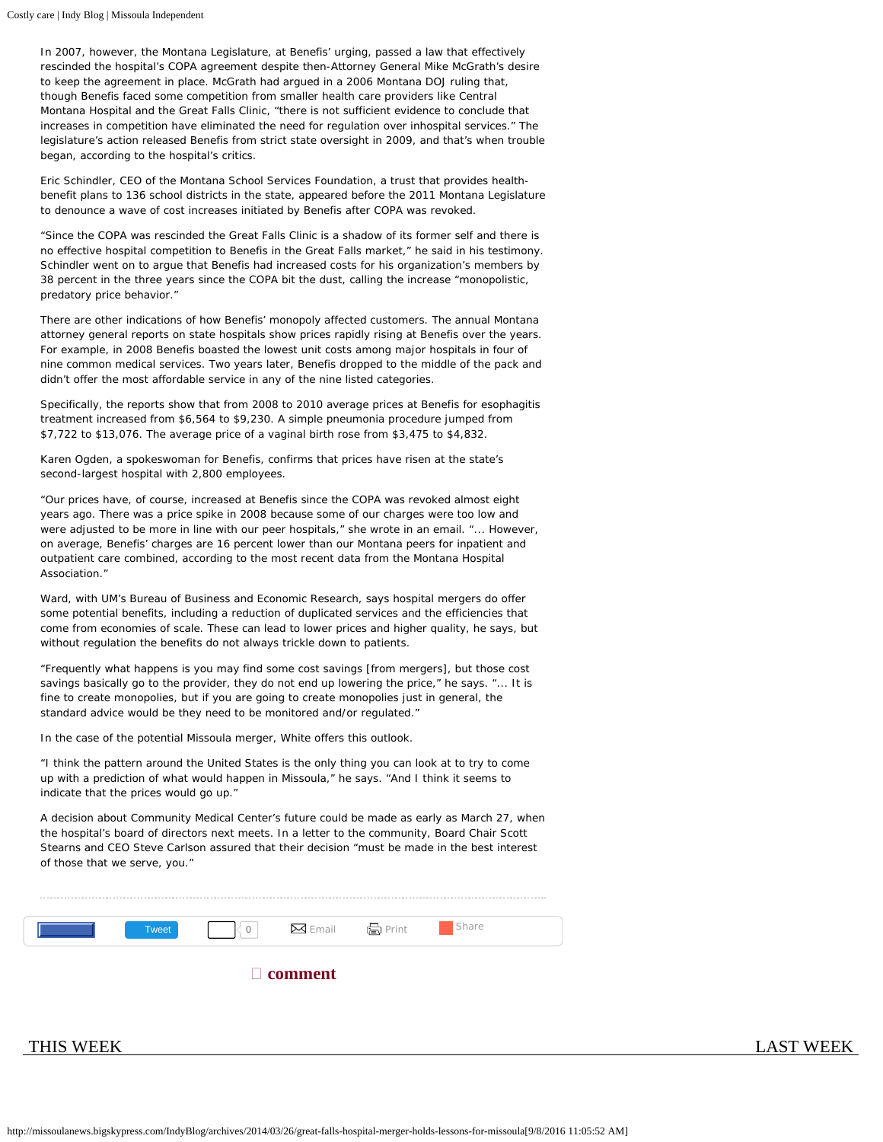In 2007, however, the Montana Legislature, at Benefis' urging, passed a law that effectively rescinded the hospital's COPA agreement despite then-Attorney General Mike McGrath's desire to keep the agreement in place. McGrath had argued in a 2006 Montana DOJ ruling that, though Benefis faced some competition from smaller health care providers like Central Montana Hospital and the Great Falls Clinic, "there is not sufficient evidence to conclude that increases in competition have eliminated the need for regulation over inhospital services." The legislature's action released Benefis from strict state oversight in 2009, and that's when trouble began, according to the hospital's critics.

Eric Schindler, CEO of the Montana School Services Foundation, a trust that provides healthbenefit plans to 136 school districts in the state, appeared before the 2011 Montana Legislature to denounce a wave of cost increases initiated by Benefis after COPA was revoked.

"Since the COPA was rescinded the Great Falls Clinic is a shadow of its former self and there is no effective hospital competition to Benefis in the Great Falls market," he said in his testimony. Schindler went on to argue that Benefis had increased costs for his organization's members by 38 percent in the three years since the COPA bit the dust, calling the increase "monopolistic, predatory price behavior."

There are other indications of how Benefis' monopoly affected customers. The annual Montana attorney general reports on state hospitals show prices rapidly rising at Benefis over the years. For example, in 2008 Benefis boasted the lowest unit costs among major hospitals in four of nine common medical services. Two years later, Benefis dropped to the middle of the pack and didn't offer the most affordable service in any of the nine listed categories.

Specifically, the reports show that from 2008 to 2010 average prices at Benefis for esophagitis treatment increased from \$6,564 to \$9,230. A simple pneumonia procedure jumped from \$7,722 to \$13,076. The average price of a vaginal birth rose from \$3,475 to \$4,832.

Karen Ogden, a spokeswoman for Benefis, confirms that prices have risen at the state's second-largest hospital with 2,800 employees.

"Our prices have, of course, increased at Benefis since the COPA was revoked almost eight years ago. There was a price spike in 2008 because some of our charges were too low and were adjusted to be more in line with our peer hospitals," she wrote in an email. "... However, on average, Benefis' charges are 16 percent lower than our Montana peers for inpatient and outpatient care combined, according to the most recent data from the Montana Hospital Association."

Ward, with UM's Bureau of Business and Economic Research, says hospital mergers do offer some potential benefits, including a reduction of duplicated services and the efficiencies that come from economies of scale. These can lead to lower prices and higher quality, he says, but without regulation the benefits do not always trickle down to patients.

"Frequently what happens is you may find some cost savings [from mergers], but those cost savings basically go to the provider, they do not end up lowering the price," he says. "... It is fine to create monopolies, but if you are going to create monopolies just in general, the standard advice would be they need to be monitored and/or regulated."

In the case of the potential Missoula merger, White offers this outlook.

"I think the pattern around the United States is the only thing you can look at to try to come up with a prediction of what would happen in Missoula," he says. "And I think it seems to indicate that the prices would go up."

A decision about Community Medical Center's future could be made as early as March 27, when the hospital's board of directors next meets. In a letter to the community, Board Chair Scott Stearns and CEO Steve Carlson assured that their decision "must be made in the best interest of those that we serve, you."

|                | Tweet | $\vert \cdot \vert$ $\vert$ $\vert$ 0 |  | $\boxtimes$ Email $\qquad \oplus$ Print | Share |
|----------------|-------|---------------------------------------|--|-----------------------------------------|-------|
| $\Box$ comment |       |                                       |  |                                         |       |

[THIS WEEK](http://missoulanews.bigskypress.com/missoula/IssueArchives?issue=3112056) [LAST WEEK](http://missoulanews.bigskypress.com/missoula/IssueArchives?issue=3098770)